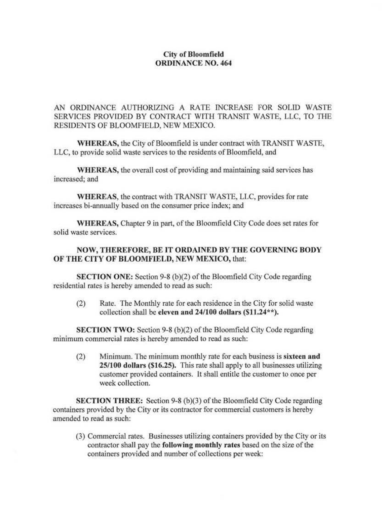### City of Bloomfield ORDINANCE NO. 464

AN ORDINANCE AUTHORIZING A RATE INCREASE FOR SOLID WASTE SERVICES PROVIDED BY CONTRACT WlTH TRANSIT WASTE, LLC, TO THE RESIDENTS OF BLOOMFIELD, NEW MEXICO.

WHEREAS, the City of Bloomfield is under contract with TRANSIT WASTE, LLC, to provide solid waste services to the residents of Bloomfield, and

WHEREAS, the overall cost of providing and maintaining said services has increased; and

WHEREAS, the contract with TRANSIT WASTE, LLC, provides for rate increases bi-annually based on the consumer price index; and

WHEREAS, Chapter 9 in part, of the Bloomfield City Code does set rates for solid waste services.

### NOW, THEREFORE, BE IT ORDAINED BY THE GOVERNING BODY OF THE CITY OF BLOOMFIELD, NEW MEXICO, that:

SECTION ONE: Section 9-8 (b)(2) of the Bloomfield City Code regarding residential rates is hereby amended to read as such:

(2) Rate. The Monthly rate for each residence in the City for solid waste collection shall be eleven and 24/100 dollars (\$11.24\*\*).

SECTION TWO: Section 9-8 (b)(2) of the Bloomfield City Code regarding minimum commercial rates is hereby amended to read as such:

(2) Minimum. The minimum monthly rate for each business is sixteen and 25/100 dollars (\$16.25). This rate shall apply to all businesses utilizing customer provided containers. lt shall entitle the customer to once per week collection.

SECTION THREE: Section 9-8 (b)(3) of the Bloomfield City Code regarding containers provided by the City or its contractor for commercial customers is hereby amended to read as such:

(3) Commercial rates. Businesses utilizing containers provided by the City or its contractor shall pay the following monthly rates based on the size of the containers provided and number of collections per week: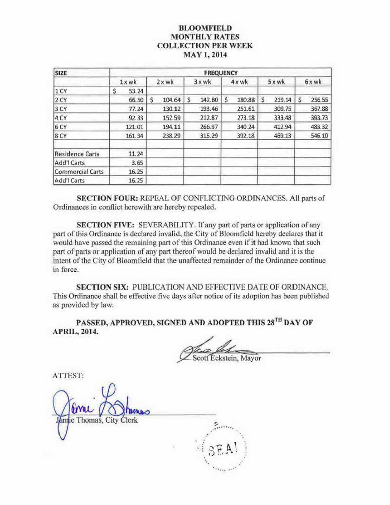## BLOOMFIELD **MONTHLY RATES** COLLECTION PER WEEK MAY 1,2014

| <b>SIZE</b>             | <b>FREQUENCY</b> |               |              |             |              |              |  |  |  |  |  |  |
|-------------------------|------------------|---------------|--------------|-------------|--------------|--------------|--|--|--|--|--|--|
|                         | $1x$ wk          | $2 \times$ wk | 3xwk         | $4x$ wk     | 5 x wk       | 6xwk         |  |  |  |  |  |  |
| 1 CY                    | \$<br>53.24      |               |              |             |              |              |  |  |  |  |  |  |
| 2 CY                    | 66.50            | \$<br>104.64  | \$<br>142.80 | Ś<br>180.88 | \$<br>219.14 | \$<br>256.55 |  |  |  |  |  |  |
| 3 CY                    | 77.24            | 130.12        | 193.46       | 251.61      | 309.75       | 367.88       |  |  |  |  |  |  |
| 4 CY                    | 92.33            | 152.59        | 212.87       | 273.18      | 333.48       | 393.73       |  |  |  |  |  |  |
| 6 CY                    | 121.01           | 194.11        | 266.97       | 340.24      | 412.94       | 483.32       |  |  |  |  |  |  |
| 8 CY                    | 161.34           | 238.29        | 315.29       | 392.18      | 469.13       | 546.10       |  |  |  |  |  |  |
| <b>Residence Carts</b>  | 11.24            |               |              |             |              |              |  |  |  |  |  |  |
| Add'l Carts             | 3.65             |               |              |             |              |              |  |  |  |  |  |  |
| <b>Commercial Carts</b> | 16.25            |               |              |             |              |              |  |  |  |  |  |  |
| Add'l Carts             | 16.25            |               |              |             |              |              |  |  |  |  |  |  |

SECTION FOUR: REPEAL OF CONFLICTING ORDINANCES. All parts of Ordinances in conflict herewith are hereby repealed.

SECTION FIVE: SEVERABlLITY. If any part of parts or application of any part of this Ordinance is declared invalid, the City of Bloomfield hereby declares that it would have passed the remaining part of this Ordinance even if it had known that such part of parts or application of any part thereof would be declared invalid and it is the intent of the City of Bloomfield that the unaffected remainder of the Ordinance continue in force.

SECTION SIX: PUBLICATION AND EFFECTIVE DATE OF ORDINANCE. This Ordinance shall be effective five days after notice of its adoption has been published as provided by law.

PASSED, APPROVED, SIGNED AND ADOPTED THIS 28<sup>th</sup> DAY OF APRIL, 2014.

cott Eckstein, Mayor

ATIEST: ie Thomas, City . ·· ....... .· · . ~ .. ......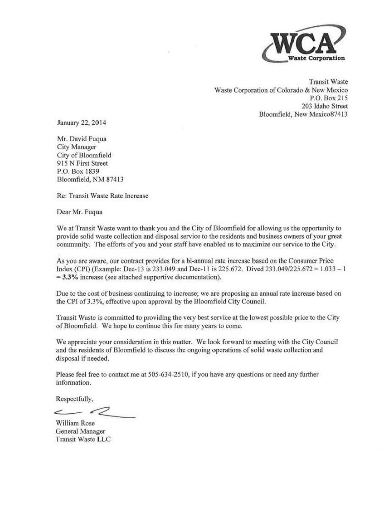

Transit Waste Waste Corporation of Colorado & New Mexico P.O. Box 215 203 Idaho Street Bloomfield, New Mexico87413

January 22, 2014

Mr. David Fuqua City Manager City of Bloomfield 915 N First Street P.O. Box 1839 Bloomfield, NM 87413

Re: Transit Waste Rate Increase

Dear Mr. Fuqua

We at Transit Waste want to thank you and the City of Bloomfield for allowing us the opportunity to provide solid waste collection and disposal service to the residents and business owners of your great community. The efforts of you and your staff have enabled us to maximize our service to the City.

As you are aware, our contract provides for a bi-annual rate increase based on the Consumer Price Index (CPI) (Example: Dec-13 is 233.049 and Dec-I **l** is 225.672. Dived 233.0491225.672 ~ l.033 - I = 3.3% increase (see attached supportive documentation).

Due to the cost of business continuing to increase; we are proposing an annual rate increase based on the CPI of 3.3%, effective upon approval by the Bloomfield City Council.

Transit Waste is committed to providing the very best service at the lowest possible price to the City of Bloomfield. We hope *to* continue this for many years to come.

We appreciate your consideration in this matter. We look forward to meeting with the City Council and the residents of Bloomfield to discuss the ongoing operations of solid waste collection and disposal if needed.

Please feel free to contact me at 505-634-2510, if you have any questions or need any further information.

Respectfully,

 $\leftarrow$  2

William Rose<br>General Manager Transit Waste LLC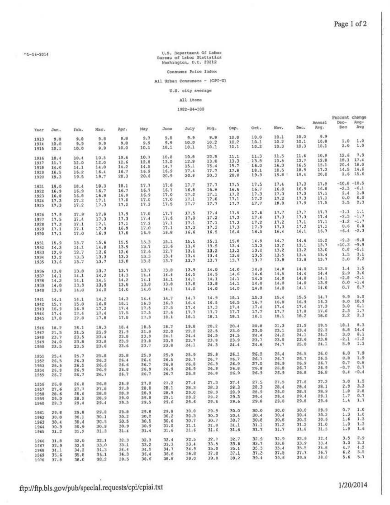# U.S. Department Of Labor<br>Bureau of Labor Statistics<br>Washington, D.C. 20212

#### Consumer Price Index

#### All Urban Consumers - (CPI-U)

#### U.S. city average

#### All items

#### 1982-84-100

|              |              |              |              |              |              |              |              |              |              |              |              |              | Annual       | Percent change<br>$Dac-$ | Avg-             |
|--------------|--------------|--------------|--------------|--------------|--------------|--------------|--------------|--------------|--------------|--------------|--------------|--------------|--------------|--------------------------|------------------|
| Year         | Jan.         | Feb.         | Mar.         | Apr.         | May          | June         | July         | Rug.         | Sep.         | Oct.         | Nov.         | Dec.         | Avg.         | Dea                      | Avg              |
|              |              |              |              |              | 9.7          | 9.8          | 9.9          | 9.9          | 10.0         | 10.0         | 10.1         | 10.0         | 9.9          |                          |                  |
| 1913         | 9.8          | 9.8          | 9.8<br>9.9   | 9,8<br>9.8   | 9.9          | 9.9          | 10.0         | 10.2         | 10.2         | 10.1         | 10.2         | 10.1         | 10.0         | 1.0                      | 1.0              |
| 1914<br>1915 | 10.0<br>10.1 | 9.9<br>10.0  | 9.9          | 10.0         | 10.1         | 10.1         | 10.1         | 10.1         | 10.1         | 10.2         | 10.3         | 10.3         | 10.1         | 2.0                      | 1,9              |
|              |              |              | 10.5         | 10.6         | 10.7         | 10.8         | 10.8         | 10.9         | 11.1         | 11.3         | 11.5         | 11.6         | 10.9         | 12.6                     | 7.9              |
| 1916         | 10.4         | 30.4         | 12.0         | 12.6         | 12.8         | 13.0         | 12.8         | 13.0         | 13.3         | 13.5         | 13.5         | 13.7         | 12.0         | 18.1                     | 17.4             |
| 1917         | 11.7         | 12.0         | 14.0         | 14.2         | 14.5         | 14.7         | 15.1         | 15.4         | 15.7         | 16.0         | 16.3         | 16.5         | 15.1         | 20.4                     | 16.0             |
| 1918         | 14.0         | 14.1         | 16.4         | 16.7         | 16.9         | 16.9         | 17.4         | 17.7         | 17.6         | 18.1         | 10.5         | 18.9         | 17.3         | 14.5                     | 14.6             |
| 1919<br>1920 | 16.5<br>19.3 | 16.2<br>19.5 | 19,7         | 20.3         | 20.6         | 20.9         | 20.8         | 20.3         | 20.0         | 19.9         | $19.8 -$     | 19.4         | 20.0         | 2.6                      | 3.5.6            |
|              | 19.0         | 18.4         | 18.3         | 10.1         | 17.7         | 17.6         | 17.7         | 17.7         | 17.5         | 17.5         | 17.4         | 17.3         | 17.9         | $-10.8$                  | $-10.5$          |
| 1921<br>1922 | 16.9         | 16.9         | 16.7         | 16.7         | 16.7         | 16.7         | 16.8         | 16.6         | 16.6         | 16.7         | 16.8         | 16.9         | 16.8         | $-2.3$                   | $-6.1$           |
| 1923         | 16.0         | 16.8         | 16.8         | 16.9         | 16.9         | 17.0         | 17.2         | 17.1         | 17.2         | 17.3         | 17.3         | 17.3         | 17.1         | 2.4                      | 1.8              |
| 1924         | 17.3         | 17.2         | 17.1         | 17.0         | 17.0         | 17.0         | 17.1         | 17.0         | 17.1         | 17.2         | 17.2         | 17.3         | 17.1         | 0.0                      | 0.0              |
| 1925         | 17.3         | 17.2         | 17.3         | 17.2         | 17.3         | 17.5         | 17.7         | 17.7         | 17.7         | 17.7         | 10.0         | 17.9         | 17.5         | 3.5                      | 2.3              |
| 1926         | 17.9         | 17.9         | 17.8         | 17.9         | 17.8         | 17.7         | 17.5         | 17.4         | 17.5         | 17.6         | 17.7         | 17.7         | 17.7         | $-1.1$                   | 1.1              |
| 1927         | 17.5         | 17.4         | 17.3         | 17.3         | 17.4         | 17.6         | 17.3         | 17.2         | 17.3         | 17.4         | 17.3         | 17.3         | 17.4         | $-2.3$                   | $-1.7$           |
| 1928         | 17.3         | 17.1         | 17.1         | 17.1         | 17.2         | 17.1         | 17.1         | 17.1         | 17.3         | 17.2         | 17.2         | 17.1         | 17.1         | $-1.2$                   | $-1.7$           |
| 1929         | 17.1         | 17.1         | 17.0         | 16.9         | 17.0         | 17.1         | 17.3         | 17.3         | 17.3         | 17.3         | 17.3         | 17.2         | 17.1         | 0.6                      | 0.0              |
| 1930         | 17.1         | 17.0         | 16.9         | 17.0         | 16.9         | 16.8         | 16.6         | 16.5         | 16.6         | 16.5         | 16.4         | 16.1         | 16.7         | $-6.4$                   | $-2.3$           |
| 1931         | 15.9         | 15.7         | 15.6         | 15.5         | 15.3         | 15.1         | 15.1         | 15.1         | 15.0         | 14.9         | 14.7         | 14.6         | 15.2         | $-9.3$                   | $-9.0$<br>$-9.9$ |
| 1932         | 14.3         | 14.1         | 14.0         | 13.9         | 13.7         | 13.6         | 13.6         | 13.5         | 13.4         | 13.3         | 13.2         | 13.1         | 13.7         | $-10.3$<br>0.0           | $-5.1$           |
| 1933         | 12.9         | 12.7         | 12.6         | 12.6         | 12.6         | 12.7         | 13.1         | 13.2         | 13.2         | 13.2         | 13.2         | 13.2         | 13.0         | 1.5                      | 3.1              |
| 1934         | 13.2         | 13.3         | 13.3         | 13.3         | 13.3         | 13.4         | 13.4         | 13.4         | 13.6         | 13.5         | 13.5         | 13.4         | 13.4<br>13.7 | 3.0                      | 2,2              |
| 1935         | 13.6         | 13.7         | 13.7         | 1.3.0        | 13.8         | 13.7         | 13.7         | 13.7         | 13.7         | 13.7         | 13.8         | 13.8         |              |                          |                  |
| 1936         | 13.8         | 13.6         | 13.7         | 13.7         | 13.7         | 13.9         | 13.9         | 14.0         | 14.0         | 14.0<br>14.6 | 14.0<br>14.5 | 14.0<br>14.4 | 13.9<br>34.4 | 1.4<br>2.9               | 1.5<br>3.6       |
| 1937         | 14.1         | 14.1         | 14.2         | 14.3         | 14.4         | 14.4         | 14.5         | 14.5         | 14.6<br>14.1 | 14.0         | 14.0         | 14.0         | 14.1         | $-2.8$                   | $-2.1$           |
| 1936         | 14.2         | 14.1         | 14.1         | 14.2         | 14.1         | 14.1         | 14.1<br>13.8 | 14.1<br>13.8 | 14.1         | 14.0         | 14.0         | 14.0         | 13.9         | 0.0                      | $-1.4$           |
| 1939         | 14.0         | 13.9         | 13.9         | 13.0         | 13.8         | 13.8         | 14.0         | 14.0         | 14.0         | 14.0         | 14.0         | 14.1         | 14.0         | 0.7                      | 0.7              |
| 1940         | 13.9         | 14.0         | 14.0         | 14.0         | 14.0         | 14.1         |              |              |              |              |              |              |              |                          |                  |
| 1941         | 14.1         | 14.1         | 14.2         | 14.3         | 14.4         | 14.7         | 14.7         | 14.9         | 15.1         | 15.3         | 15.4         | 15.5         | 14.7         | 9.9                      | 5.0              |
| 1942         | 15.7         | 15.8         | 16.0         | 16.1         | 16.3         | 16.3         | 16.4         | 16.5         | 16.5         | 16.7         | 16.8         | 16.9         | 16.3         | 9.0<br>3.0               | 10.9<br>6.1      |
| 1943         | 16.9         | 16.9         | 17.2         | 17.4         | 17.5         | 17.5         | 17.4         | 17.3         | 17.4         | 17.4         | 17.4         | 17.4         | 17.3         | 2.3                      | 1.7              |
| 1944         | 17.4         | 17.4         | 17.4         | 17.5         | 17.5         | 17.6         | 17.7         | 17.7         | 17.7         | 17.7         | 17.7         | 17.8         | 17.6<br>18.0 | 2.2                      | 2.3              |
| 1945         | 17.8         | 17.8         | 17.8         | 17.8         | 17.9         | 18.1         | 18.1         | 18.1         | 18.1         | 18.1         | 18.1         | 18.2         |              |                          |                  |
| 1946         | 18.2         | 18.1         | 18.3         | 18.4         | 18.5         | 18.7         | 19.8         | 20.2         | 20.4         | 20.8         | 21.3         | 21.5         | 19.5<br>22.3 | 18.1<br>8.8              | 8.3<br>14.4      |
| 1947         | 21.5         | 21.5         | 21.9         | 21.9         | 21.9         | 22.0         | 22.2         | 22.5         | 23.0         | 23.0         | 23.1         | 23.4         | 24.1         | 3,0                      | 8.1              |
| 1949         | 23.7         | 23.5         | 23.4         | 23.8         | 23.9         | 24.1         | 24.4         | 24.5         | 24.5         | 24.4         | 24.2         | 24.1<br>23.6 | 23.0         | $-2.1$                   | $-1.2$           |
| 1949         | 24.0         | 23.8         | 23.8         | 23.9         | 23.8         | 23.9         | 23.7         | 23.8         | 23.9         | 23.7         | 23.9<br>24.7 | 25.0         | 24.1         | 5.9                      | 1.3              |
| 1950         | 23.5         | 23.5         | 23.6         | 23.6         | 23.7         | 23.8         | 24.1         | 24.3         | 24.4         | 24.6         |              |              |              |                          |                  |
| 1951         | 25.4         | 25.7         | 25.8         | 25.8         | 25.9         | 25.9         | 25.9<br>26.7 | 25.9<br>26.7 | 26.1<br>26.7 | 26.2<br>26.7 | 26.4<br>26.7 | 26.5<br>26.7 | 26.0<br>26.5 | 6.0<br>0.8               | 7.9<br>1.9       |
| 1952         | 26.5         | 26.3         | 26.3         | 26.4         | 26.4         | 26.5         | 26.8         | 26.9         | 26.9         | 27.0         | 26.9         | 26.5         | 26.7         | 0.7                      | 0.8              |
| 1953         | 25.5         | 26.5         | 26.6         | 26, 6        | 26.7         | 26.8<br>26.9 | 26.9         | 26.9         | 26.8         | 26.8         | 26.8         | 26.7         | 26.9         | $-0.7$                   | 0.7              |
| 1954<br>1955 | 26.9<br>26.7 | 26.9<br>26.7 | 26.9<br>26.7 | 26.8<br>26.7 | 26.9<br>26.7 | 26.7         | 26.8         | 26.8         | 26.9         | 26.9         | 26.9         | 26.8         | 26.8         | 0.4                      | $-0.4$           |
|              |              |              |              |              | 27.0         | 27.2         | 27.4         | 27.3         | 27.4         | 27.5         | 27.5         | 27.6         | 27.2         | 3.0                      | 1.5              |
| 1956         | 26.8         | 26.0         | 26.8<br>27.8 | 26.9<br>27.9 | 28.0         | 28.1         | 28.3         | 28.3         | 28.3         | 28.3         | 28.4         | 28.4         | 28.1         | 2.9                      | 3.3              |
| 1957         | 27.6         | 27.7<br>28.6 | 28.8         | 28.9         | 28.9         | 28.9         | 29.0         | 28.9         | 28.9         | 28.9         | 29.0         | 28.9         | 28.9         | 1.8                      | 2.8              |
| 1958         | 28.6<br>29.0 | 28.9         | 28.9         | 29.0         | 29.0         | 29.1         | 29.2         | 29.2         | 29.3         | 29.4         | 29.4         | 29.4         | 29.1         | 1.7                      | 0.7              |
| 1959<br>1960 | 29.3         | 29.4         | 29.4         | 29.5         | 29.3         | 29.6         | 29.6         | 29.6         | 29.6         | 29.8         | 29.8         | 29.8         | 29.6         | 3.4                      | 1.7              |
| 1961         | 29.8         | 29.8         | 29.8         | 29.0         | 29.8         | 29.8         | 30.0         | 29.9         | 30.0         | 30.0         | 30.0         | 30.0         | 29.9         | 0.7                      | 1.0              |
| 1962         | 30.0         | 30.1         | 30.1         | 30.2         | 30.2         | 30.2         | 30.3         | 30.3         | 30.4         | 30.4         | 30.4         | 30.4         | 30.2         | 1.3                      | 1.0              |
| 1963         | 30.4         | 30.4         | 30.5         | 30.5         | 30.5         | 30.6         | 30.7         | 30.7         | 30.7         | 30.8         | 30.8         | 30.9         | 30.6         | 1.6                      | 1.3              |
| 1964         | 30.9         | 30.9         | 30.9         | 30.9         | 30.9         | 31.0         | 31.1         | 31.0         | 31.1         | 31.1         | 31.2         | 31.2         | 31.0         | 3.0                      | 1.3              |
| 1965         | 31.2         | 31.2         | 31.3         | 31.4         | 31.4         | 31.6         | 31.6         | 31.6         | 31,6         | 31.7         | 31.7         | 31.8         | 31.5         | 1.9                      | 1.6              |
| 1966         | 31.8         | 32.0         | 32.1         | 32.3         | 32.3         | 32.4         | 32.5         | 32.7         | 32.7         | 32.9         | 32.9         | 32.9         | 32.4         | 3.5                      | 2.9              |
| 1967         | 32.9         | 32.9         | 33.0         | 33.1         | 33.2         | 33.3         | 33.4         | 33.5         | 33.6         | 33.7         | 33.8         | 33.9         | 33.4         | 3.0                      | 3.1<br>4.2       |
| 1968         | 34.1         | 34.2         | 34.3         | 34.4         | 34.5         | 34.7         | 34.9         | 35.0         | 35.1         | 35.3         | 35.4         | 35.5         | 34.8         | 1.7                      | 5,5              |
| 3969         | 35.6         | 35.8         | 36.1         | 36.3         | 36.4         | 36.6         | 36.8         | 37.0         | 37.1         | 37.3         | 37.5         | 37.7         | 36.7<br>38,0 | 6.2<br>5.6               | 5.7              |
| 1970         | 37.8         | 38.0         | 38.2         | 39.5         | 38.6         | 38.8         | 39.0         | 39.0         | 39.2         | 39.4         | 39.6         | 39.8         |              |                          |                  |

## ftp://ftp.bls.gov/pub/special.requests/cpi/cpiai.txt

×,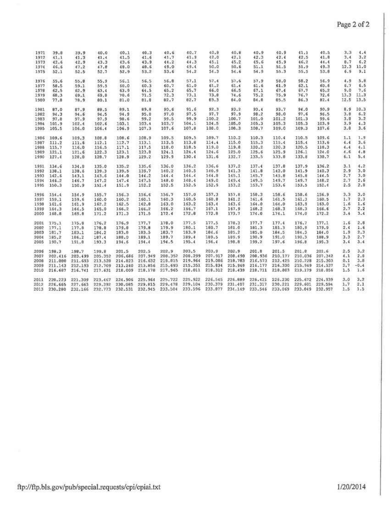| 1971 | 39.8    | 39.9    | 40.0    | 40.1    | 40.3    | 40.6    | 40.7    | 40.8    | 40.8    | 40.9    | 40.9    | 41.1    | 40.5    | 3.3  | 4.4    |
|------|---------|---------|---------|---------|---------|---------|---------|---------|---------|---------|---------|---------|---------|------|--------|
| 1972 | 41.1    | 41.3    | 41.4    | 41.5    | 41.6    | 41.7    | 41.9    | 42.0    | 42.1    | 42.3    | 42.4    | 42.5    | 41.8    | 3.4  | 3.2    |
| 1973 | 42.6    | 42.9    | 43.3    | 43.6    | 43.9    | 44.2    | 44.3    | 45.1    | 45.2    | 45.6    | 45.9    | 46.2    | 44.4    | 8.7  | 6.2    |
| 1974 | 46.6    | 47.2    | 47.8    | 48.0    | 48.6    | 49.0    | 49.4    | 50.0    | 50.6    | 51.1    | 51.5    | 51.9    | 49.3    | 12.3 | 11.0   |
| 1975 | 52.1    | 52.5    | 52.7    | 52.9    | 53.2    | 53.6    | 54.2    | 54.3    | 54.6    | 54.9    | 55.3    | 55.5    | 53.8    | 6.9  | 9.1    |
| 1976 | 55.6    | 55.8    | 55.9    | 56.1    | 56.5    | 56.8    | 57.1    | 57.4    | 57.6    | 57.9    | 58.0    | 58.2    | 56.9    | 4.9  | 5.8    |
| 1977 | 58.5    | 59.1    | 59.5    | 60.0    | 60.3    | 60.7    | 61.0    | 61.2    | 61.4    | 61.6    | 61.9    | 62.1    | 60.6    | 6.7  | 6.5    |
| 1978 | 62.5    | 62.9    | 63.4    | 63.9    | 64.5    | 65.2    | 65.7    | 66.0    | 66.5    | 67.1    | 67.4    | 67.7    | 65.2    | 9.0  | 7.6    |
| 1979 | 68.3    | 69.1    | 69.8    | 70.6    | 71.5    | 72.3    | 73.1    | 73.8    | 74.6    | 75.2    | 75.9    | 76.7    | 72.6    | 13.3 | 11.3   |
| 1980 | 77.8    | 78.9    | 80.1    | 81.0    | 81.8    | 82,7    | 82.7    | 83.3    | 84.0    | 84.8    | 85.5    | 86.3    | 82.4    | 12.5 | 13.5   |
| 1981 | 87.0    | 87.9    | 88.5    | 89.1    | 89.8    | 90.6    | 91.6    | 92.3    | 93.2    | 93.4    | 93.7    | 94.0    | 90.9    | 8.9  | 10.3   |
| 1982 | 94.3    | 94.6    | 94.5    | 94.9    | 95.8    | 97.0    | 97.5    | 97.7    | 97.9    | 98.2    | 98.0    | 97.6    | 96.5    | 3.8  | 6.2    |
| 1983 | 97.8    | 97.9    | 97.9    | 98.6    | 99.2    | 99.5    | 99.9    | 100.2   | 100.7   | 101.0   | 101.2   | 101.3   | 99.6    | 3.8  | 3.2    |
| 1984 | 101.9   | 102.4   | 102.6   | 103.1   | 103.4   | 103.7   | 104.1   | 104.5   | 105.0   | 105.3   | 105.3   | 105.3   | 103.9   | 3.9  | 4.3    |
| 1985 | 105.5   | 106.0   | 106.4   | 106.9   | 107.3   | 107.6   | 107.8   | 108.0   | 106.3   | 108.7   | 109.0   | 109.3   | 107.6   | 3.8  | 3.6    |
| 1986 | 109.6   | 109.3   | 108.8   | 108.6   | 108.9   | 109.5   | 109.5   | 109.7   | 110.2   | 110.3   | 110.4   | 110.5   | 109.6   | 1.1  | 1.9    |
| 1987 | 111.2   | 111.6   | 112.1   | 112.7   | 113.1   | 113.5   | 113.8   | 114.4   | 115.0   | 115.3   | 115.4   | 115.4   | 113.6   | 4.4  | 3.6    |
| 1988 | 115.7   | 116.0   | 116.5   | 117.1   | 117.5   | 118.0   | 118.5   | 119.0   | 119.8   | 120.2   | 120.3   | 120.5   | 118.3   | 4.4  | 4.1    |
| 1989 | 121.1   | 121.6   | 122.3   | 123.1   | 123.8   | 124.1   | 124.4   | 124.6   | 125.0   | 125.6   | 125.9   | 126.1   | 124.0   | 4.6  | 4.8    |
| 1990 | 127.4   | 128.0   | 128.7   | 128.9   | 129.2   | 129.9   | 130.4   | 131.6   | 132.7   | 133.5   | 133.8   | 133.8   | 130.7   | 6.1  | 5.4    |
|      |         |         |         |         |         |         |         |         |         |         |         |         |         |      |        |
| 1991 | 134.6   | 134.8   | 135.0   | 135.2   | 135.6   | 136.0   | 136.2   | 136.6   | 137.2   | 137.4   | 137.8   | 137.9   | 136.2   | 3.1  | 4.2    |
| 1992 | 138.1   | 138.6   | 139.3   | 139.5   | 139.7   | 140.2   | 140.5   | 140.9   | 141.3   | 141.8   | 142.0   | 141.9   | 140.3   | 2.9  | 3.0    |
| 1993 | 142.6   | 143.1   | 143.6   | 144.0   | 144.2   | 144.4   | 144.4   | 144.8   | 145.1   | 145.7   | 145.8   | 145.8   | 144.5   | 2.7  | 3.0    |
| 1994 | 146.2   | 146.7   | 147.2   | 147.4   | 147.5   | 148.0   | 148.4   | 149.0   | 149.4   | 149.5   | 149.7   | 149.7   | 148.2   | 2.7  | 2.6    |
| 1995 | 150.3   | 150.9   | 151.4   | 151.9   | 152.2   | 152.5   | 152.5   | 152.9   | 153.2   | 153.7   | 153.6   | 153.5   | 152.4   | 2.5  | 2.8    |
| 1996 | 154.4   | 154.9   | 155.7   | 156.3   | 156.6   | 156.7   | 157.0   | 157.3   | 157.8   | 158.3   | 158.6   | 158.6   | 156.9   | 3.3  | 3.0    |
| 1997 | 159.1   | 159.6   | 160.0   | 160.2   | 160.1   | 160.3   | 160.5   | 160.8   | 161.2   | 161.6   | 161.5   | 161.3   | 160.5   | 1.7  | 2.3    |
| 1998 | 161.6   | 161.9   | 162.2   | 162.5   | 162.8   | 163.0   | 163.2   | 163.4   | 163.6   | 164.0   | 164.0   | 163.9   | 163.0   | 1.6  | 1.6    |
| 1999 | 164.3   | 164.5   | 165.0   | 166.2   | 166.2   | 166.2   | 166.7   | 167.1   | 167.9   | 168.2   | 168.3   | 168.3   | 166.6   | 2.7  | 2.2    |
| 2000 | 168.8   | 169.8   | 171.2   | 171.3   | 171.5   | 172.4   | 172.8   | 172.8   | 173.7   | 174.0   | 174.1   | 174.0   | 172.2   | 3.4  | 3.4    |
|      |         |         |         |         |         |         |         |         |         |         |         |         |         |      |        |
| 2001 | 175.1   | 175.8   | 176.2   | 176.9   | 177.7   | 178.0   | 177.5   | 177.5   | 178.3   | 177.7   | 177.4   | 176.7   | 177.1   | 1.6  | 2,8    |
| 2002 | 177.1   | 177.8   | 178.8   | 179.8   | 179.8   | 179.9   | 180.1   | 160.7   | 181.0   | 181.3   | 181.3   | 180.9   | 179.9   | 2.4  | 1.6    |
| 2003 | 181.7   | 183.1   | 184.2   | 183.8   | 183.5   | 183.7   | 183.9   | 184.6   | 185.2   | 185.0   | 184.5   | 184.3   | 164.0   | 1.9  | 2.3    |
| 2004 | 185.2   | 186.2   | 187.4   | 188.0   | 189.1   | 189.7   | 189.4   | 189.5   | 189.9   | 190.9   | 191.0   | 190.3   | 188.9   | 3.3  | 2.7    |
| 2005 | 190.7   | 191.8   | 193.3   | 194.6   | 194.4   | 194.5   | 195.4   | 196.4   | 19B.B   | 199.2   | 197.6   | 196.8   | 195.3   | 3.4  | 3.4    |
| 2006 | 198.3   | 198.7   | 199.8   | 201.5   | 202.5   | 202.9   | 203.5   | 203.9   | 202.9   | 201.8   | 201.5   | 201.8   | 201.6   | 2.5  | 3.2    |
| 2007 | 202.416 | 203.499 | 205.352 | 206.686 | 207.949 | 208.352 | 208.299 | 207.917 | 208,490 | 208.936 | 210.177 | 210,036 | 207.342 | 4.1  | 2.8    |
| 2008 | 211.080 | 211.693 | 213.528 | 214.823 | 216.632 | 218.815 | 219.964 | 219.086 | 218.783 | 216.573 | 212.425 | 210.228 | 215.303 | 0.1  | 3.8    |
| 2009 | 211.143 | 212,193 | 212,709 | 213,240 | 213.856 | 215.693 | 215,351 | 215.834 | 215.969 | 216.177 | 216.330 | 215.949 | 214.537 | 2.7  | $-0.4$ |
| 2010 | 216.687 | 216.741 | 217.631 | 218,009 | 218,178 | 217.965 | 218,011 | 218.312 | 218.439 | 218.711 | 218,803 | 219,179 | 218,056 | 1.5  | 1.6    |
|      |         |         |         |         |         |         |         |         |         |         |         |         |         |      |        |
| 2011 | 220,223 | 221,309 | 223.467 | 224.906 | 225.964 | 225.722 | 225.922 | 226.545 | 226.889 | 226.421 | 226.230 | 225.672 | 224,939 | 3.0  | 3.2    |
| 2012 | 226.665 | 227,663 | 229,392 | 230.085 | 229.815 | 229,478 | 229,104 | 230.379 | 231.407 | 231.317 | 230.221 | 229.601 | 229.594 | 1.7  | 2.1    |
| 2013 | 230.280 | 232,166 | 232.773 | 232.531 | 232.945 | 233.504 | 233.596 | 233.877 | 234.149 | 233.546 | 233.069 | 233.049 | 232.957 | 1.5  | 1.5    |
|      |         |         |         |         |         |         |         |         |         |         |         |         |         |      |        |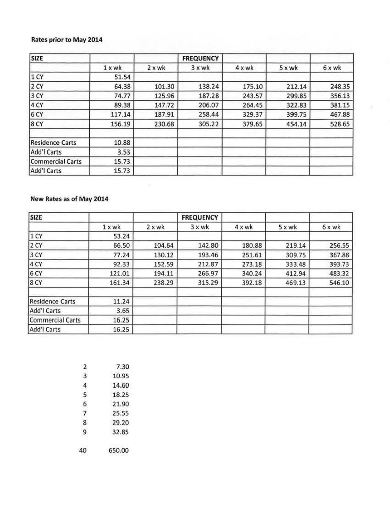## Rates prior to May 2014

| <b>SIZE</b>            |        |               | <b>FREQUENCY</b> |        |        |        |
|------------------------|--------|---------------|------------------|--------|--------|--------|
|                        | 1 x wk | $2 \times$ wk | $3x$ wk          | 4 x wk | 5 x wk | 6 x wk |
| 1 <sup>C</sup> Y       | 51.54  |               |                  |        |        |        |
| 2 CY                   | 64.38  | 101.30        | 138.24           | 175.10 | 212.14 | 248.35 |
| 3 CY                   | 74.77  | 125.96        | 187.28           | 243.57 | 299.85 | 356.13 |
| 4 CY                   | 89.38  | 147.72        | 206.07           | 264.45 | 322.83 | 381.15 |
| 6 CY                   | 117.14 | 187.91        | 258.44           | 329.37 | 399.75 | 467.88 |
| 8CY                    | 156.19 | 230.68        | 305.22           | 379.65 | 454.14 | 528.65 |
| <b>Residence Carts</b> | 10.88  |               |                  |        |        |        |
| Add'l Carts            | 3.53   |               |                  |        |        |        |
| Commercial Carts       | 15.73  |               |                  |        |        |        |
| Add'l Carts            | 15.73  |               |                  |        |        |        |

## New Rates as of May 2014

| <b>SIZE</b>            |          |        | <b>FREQUENCY</b> |        |        |        |
|------------------------|----------|--------|------------------|--------|--------|--------|
|                        | $1 x$ wk | 2 x wk | $3x$ wk          | 4 x wk | 5 x wk | 6 x wk |
| 1 CY                   | 53.24    |        |                  |        |        |        |
| 2 CY                   | 66.50    | 104.64 | 142.80           | 180.88 | 219.14 | 256.55 |
| 3 <sub>CY</sub>        | 77.24    | 130.12 | 193.46           | 251.61 | 309.75 | 367.88 |
| 4 CY                   | 92.33    | 152.59 | 212.87           | 273.18 | 333.48 | 393.73 |
| 6 CY                   | 121.01   | 194.11 | 266.97           | 340.24 | 412.94 | 483.32 |
| 8 <sub>CY</sub>        | 161.34   | 238.29 | 315.29           | 392.18 | 469.13 | 546.10 |
| <b>Residence Carts</b> | 11.24    |        |                  |        |        |        |
| Add'l Carts            | 3.65     |        |                  |        |        |        |
| Commercial Carts       | 16.25    |        |                  |        |        |        |
| Add'l Carts            | 16.25    |        |                  |        |        |        |

| 7  | 7.30   |
|----|--------|
| 3  | 10.95  |
| 4  | 14.60  |
| 5  | 18.25  |
| 6  | 21.90  |
| 7  | 25.55  |
| 8  | 29.20  |
| g  | 32.85  |
| 40 | 650.00 |
|    |        |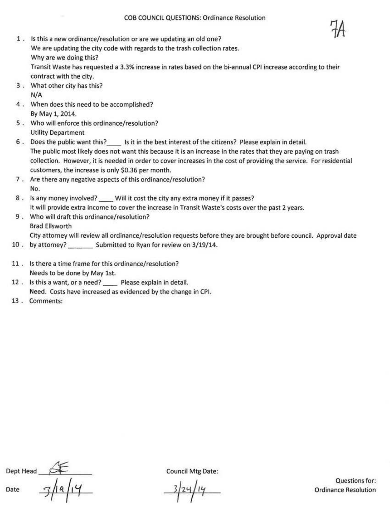- 
- l . Is this a new ordinance/resolution or are we updating an old one? We are updating the city code with regards to the trash collection rates. Why are we doing this? Transit Waste has requested a 3.3% increase in rates based on the bi-annual CPI increase according to their contract with the city.
- 3 . What other city has this? N/A
- 4 . When does this need to be accomplished? By May l, 2014.
- 5 . Who will enforce this ordinance/resolution? Utility Department
- 6 . Does the public want this? \_\_ Is it in the best interest of the citizens? Please explain in detail. The public most likely does not want this because it is an increase in the rates that t hey are paying on trash collection. However, it is needed in order to cover increases in the cost of providing the service. For residential customers, the increase is only \$0.36 per month.
- 7 . Are there any negative aspects of this ordinance/resolution? No.
- 8 . Is any money involved? \_\_\_\_ Will it cost the city any extra money if it passes? It will provide extra income to cover the increase in Transit Waste's costs over the past 2 years.
- 9 . Who will draft this ordinance/resolution? Brad Ellsworth City attorney will review all ordinance/resolution requests before they are brought before council. Approval date
- 10 . by attorney? \_\_\_\_\_\_\_\_ Submitted to Ryan for review on 3/19/14.
- 11 . Is there a time frame for this ordinance/resolution? Needs to be done by May 1st.
- 12 . Is this a want, or a need? \_\_ Please explain in detail. Need. Costs have increased as evidenced by the change in CPI.
- 13 . Comments:

Dept Head Date  $\frac{3}{14}$ 

Council Mtg Date:

 $\mathcal{I}$ 

Questions for: Ordinance Resolution